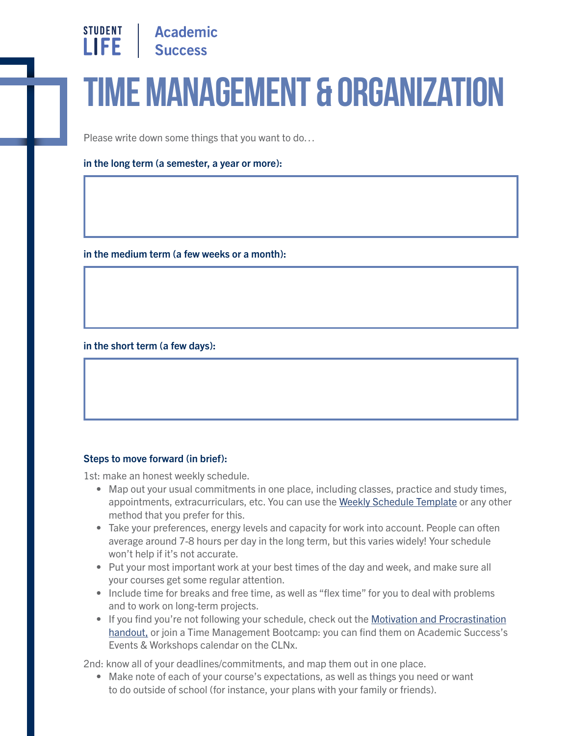

## **Time Management & Organization**

Please write down some things that you want to do…

in the long term (a semester, a year or more):

in the medium term (a few weeks or a month):

in the short term (a few days):

## Steps to move forward (in brief):

1st: make an honest weekly schedule.

- Map out your usual commitments in one place, including classes, practice and study times, appointments, extracurriculars, etc. You can use the [Weekly Schedule Template](https://studentlife.utoronto.ca/wp-content/uploads/Weekly_Schedule_Template.pdf) or any other method that you prefer for this.
- Take your preferences, energy levels and capacity for work into account. People can often average around 7-8 hours per day in the long term, but this varies widely! Your schedule won't help if it's not accurate.
- Put your most important work at your best times of the day and week, and make sure all your courses get some regular attention.
- Include time for breaks and free time, as well as "flex time" for you to deal with problems and to work on long-term projects.
- [If you find you're not following your schedule, check out the Motivation and Procrastination](https://studentlife.utoronto.ca/wp-content/uploads/Motivation-and-procrastination.pdf)  handout, or join a Time Management Bootcamp: you can find them on Academic Success's Events & Workshops calendar on the CLNx.

2nd: know all of your deadlines/commitments, and map them out in one place.

• Make note of each of your course's expectations, as well as things you need or want to do outside of school (for instance, your plans with your family or friends).